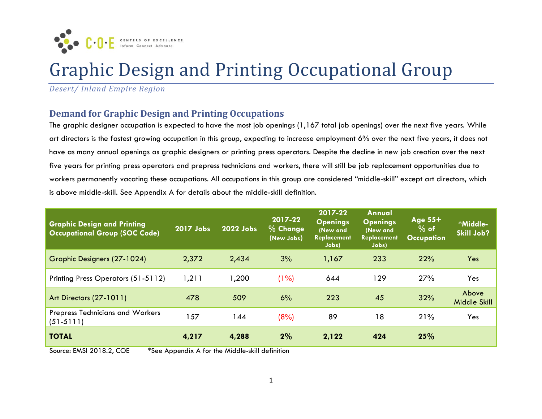

# Graphic Design and Printing Occupational Group

*Desert/ Inland Empire Region*

### **Demand for Graphic Design and Printing Occupations**

The graphic designer occupation is expected to have the most job openings (1,167 total job openings) over the next five years. While art directors is the fastest growing occupation in this group, expecting to increase employment 6% over the next five years, it does not have as many annual openings as graphic designers or printing press operators. Despite the decline in new job creation over the next five years for printing press operators and prepress technicians and workers, there will still be job replacement opportunities due to workers permanently vacating these occupations. All occupations in this group are considered "middle-skill" except art directors, which is above middle-skill. See Appendix A for details about the middle-skill definition.

| <b>Graphic Design and Printing</b><br><b>Occupational Group (SOC Code)</b> | 2017 Jobs | 2022 Jobs | 2017-22<br>$%$ Change<br>(New Jobs) | 2017-22<br><b>Openings</b><br>(New and<br>Replacement<br>Jobs) | Annual<br><b>Openings</b><br>(New and<br>Replacement<br>Jobs) | Age $55+$<br>$%$ of<br><b>Occupation</b> | *Middle-<br>Skill Job? |
|----------------------------------------------------------------------------|-----------|-----------|-------------------------------------|----------------------------------------------------------------|---------------------------------------------------------------|------------------------------------------|------------------------|
| <b>Graphic Designers (27-1024)</b>                                         | 2,372     | 2,434     | 3%                                  | 1,167                                                          | 233                                                           | 22%                                      | Yes                    |
| Printing Press Operators (51-5112)                                         | 1,211     | 1,200     | (1%)                                | 644                                                            | 129                                                           | 27%                                      | Yes                    |
| Art Directors (27-1011)                                                    | 478       | 509       | 6%                                  | 223                                                            | 45                                                            | 32%                                      | Above<br>Middle Skill  |
| <b>Prepress Technicians and Workers</b><br>$(51-5111)$                     | 57        | 144       | (8%)                                | 89                                                             | 18                                                            | 21%                                      | Yes                    |
| <b>TOTAL</b>                                                               | 4,217     | 4,288     | 2%                                  | 2,122                                                          | 424                                                           | 25%                                      |                        |

Source: EMSI 2018.2, COE \*See Appendix A for the Middle-skill definition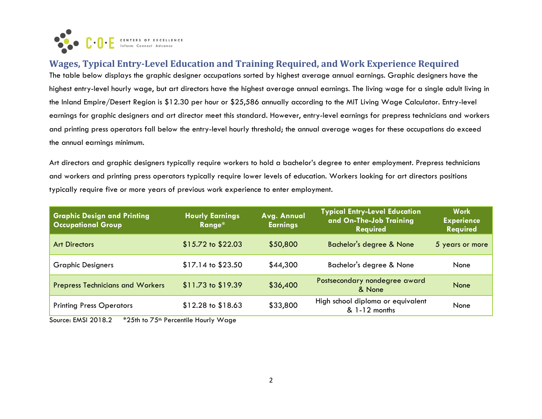

**Wages, Typical Entry-Level Education and Training Required, and Work Experience Required** The table below displays the graphic designer occupations sorted by highest average annual earnings. Graphic designers have the highest entry-level hourly wage, but art directors have the highest average annual earnings. The living wage for a single adult living in the Inland Empire/Desert Region is \$12.30 per hour or \$25,586 annually according to the MIT Living Wage Calculator. Entry-level earnings for graphic designers and art director meet this standard. However, entry-level earnings for prepress technicians and workers and printing press operators fall below the entry-level hourly threshold; the annual average wages for these occupations do exceed the annual earnings minimum.

Art directors and graphic designers typically require workers to hold a bachelor's degree to enter employment. Prepress technicians and workers and printing press operators typically require lower levels of education. Workers looking for art directors positions typically require five or more years of previous work experience to enter employment.

| <b>Graphic Design and Printing</b><br><b>Occupational Group</b> | <b>Typical Entry-Level Education</b><br>Avg. Annual<br><b>Hourly Earnings</b><br>and On-The-Job Training<br><b>Earnings</b><br>Range*<br><b>Required</b> |          | <b>Work</b><br><b>Experience</b><br><b>Required</b> |                 |
|-----------------------------------------------------------------|----------------------------------------------------------------------------------------------------------------------------------------------------------|----------|-----------------------------------------------------|-----------------|
| <b>Art Directors</b>                                            | $$15.72$ to $$22.03$                                                                                                                                     | \$50,800 | <b>Bachelor's degree &amp; None</b>                 | 5 years or more |
| <b>Graphic Designers</b>                                        | $$17.14$ to $$23.50$                                                                                                                                     | \$44,300 | Bachelor's degree & None                            | None            |
| <b>Prepress Technicians and Workers</b>                         | \$11.73 to \$19.39                                                                                                                                       | \$36,400 | Postsecondary nondegree award<br>& None             | None            |
| <b>Printing Press Operators</b>                                 | $$12.28$ to $$18.63$                                                                                                                                     | \$33,800 | High school diploma or equivalent<br>& 1-12 months  | None            |

Source: EMSI 2018.2 \*25th to 75<sup>th</sup> Percentile Hourly Wage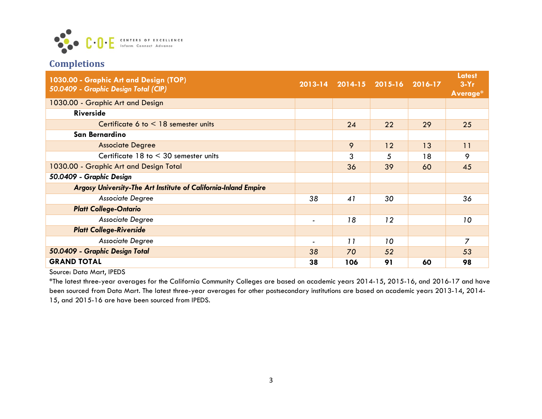

# **Completions**

| 1030.00 - Graphic Art and Design (TOP)<br>50.0409 - Graphic Design Total (CIP) |                          | 2013-14 2014-15 2015-16 2016-17 |    |    | <b>Latest</b><br>$3-Yr$<br>Average* |
|--------------------------------------------------------------------------------|--------------------------|---------------------------------|----|----|-------------------------------------|
| 1030.00 - Graphic Art and Design                                               |                          |                                 |    |    |                                     |
| <b>Riverside</b>                                                               |                          |                                 |    |    |                                     |
| Certificate 6 to $\leq$ 18 semester units                                      |                          | 24                              | 22 | 29 | 25                                  |
| San Bernardino                                                                 |                          |                                 |    |    |                                     |
| <b>Associate Degree</b>                                                        |                          | 9                               | 12 | 13 | 11                                  |
| Certificate $18$ to $\leq 30$ semester units                                   |                          | 3                               | 5  | 18 | 9                                   |
| 1030.00 - Graphic Art and Design Total                                         |                          | 36                              | 39 | 60 | 45                                  |
| 50.0409 - Graphic Design                                                       |                          |                                 |    |    |                                     |
| Argosy University-The Art Institute of California-Inland Empire                |                          |                                 |    |    |                                     |
| Associate Degree                                                               | 38                       | 41                              | 30 |    | 36                                  |
| <b>Platt College-Ontario</b>                                                   |                          |                                 |    |    |                                     |
| Associate Degree                                                               | $\overline{\phantom{0}}$ | 18                              | 12 |    | 10                                  |
| <b>Platt College-Riverside</b>                                                 |                          |                                 |    |    |                                     |
| Associate Degree                                                               | $\overline{\phantom{0}}$ | 11                              | 10 |    | 7                                   |
| 50.0409 - Graphic Design Total                                                 |                          | 70                              | 52 |    | 53                                  |
| <b>GRAND TOTAL</b>                                                             | 38                       | 106                             | 91 | 60 | 98                                  |

Source: Data Mart, IPEDS

\*The latest three-year averages for the California Community Colleges are based on academic years 2014-15, 2015-16, and 2016-17 and have been sourced from Data Mart. The latest three-year averages for other postsecondary institutions are based on academic years 2013-14, 2014- 15, and 2015-16 are have been sourced from IPEDS.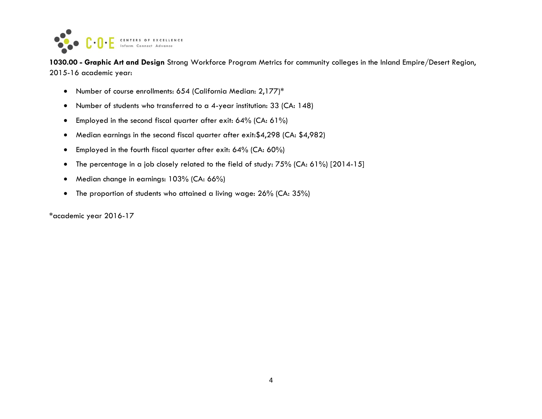

**1030.00 - Graphic Art and Design** Strong Workforce Program Metrics for community colleges in the Inland Empire/Desert Region, 2015-16 academic year:

- Number of course enrollments: 654 (California Median: 2,177)\*
- Number of students who transferred to a 4-year institution: 33 (CA: 148)
- Employed in the second fiscal quarter after exit: 64% (CA: 61%)
- Median earnings in the second fiscal quarter after exit:\$4,298 (CA: \$4,982)
- Employed in the fourth fiscal quarter after exit: 64% (CA: 60%)
- The percentage in a job closely related to the field of study: 75% (CA: 61%) [2014-15]
- Median change in earnings: 103% (CA: 66%)
- The proportion of students who attained a living wage: 26% (CA: 35%)

\*academic year 2016-17